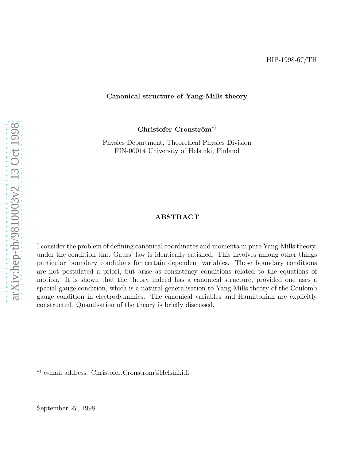#### Canonical structure of Yang-Mills theory

Christofer Cronström<sup>\*)</sup>

Physics Department, Theoretical Physics Division FIN-00014 University of Helsinki, Finland

#### ABSTRACT

I consider the problem of defining canonical coordinates and momenta in pure Yang-Mills theory, under the condition that Gauss' law is identically satisifed. This involves among other things particular boundary conditions for certain dependent variables. These boundary conditions are not postulated a priori, but arise as consistency conditions related to the equations of motion. It is shown that the theory indeed has a canonical structure, provided one uses a special gauge condition, which is a natural generalisation to Yang-Mills theory of the Coulomb gauge condition in electrodynamics. The canonical variables and Hamiltonian are explicitly constructed. Quantisation of the theory is briefly discussed.

∗) e-mail address: Christofer.Cronstrom@Helsinki.fi.

September 27, 1998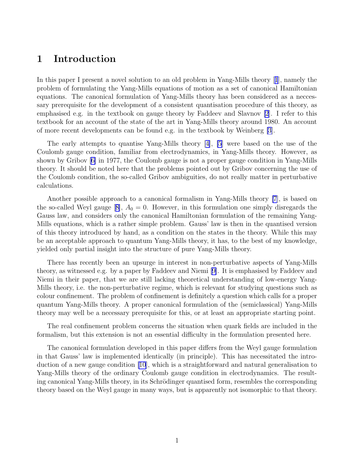# 1 Introduction

In this paper I present a novel solution to an old problem in Yang-Mills theory[[1](#page-13-0)], namely the problem of formulating the Yang-Mills equations of motion as a set of canonical Hamiltonian equations. The canonical formulation of Yang-Mills theory has been considered as a neccessary prerequisite for the development of a consistent quantisation procedure of this theory, as emphasised e.g. in the textbook on gauge theory by Faddeev and Slavnov [\[2](#page-13-0)]. I refer to this textbook for an account of the state of the art in Yang-Mills theory around 1980. An account of more recent developments can be found e.g. in the textbook by Weinberg [\[3](#page-13-0)].

The early attempts to quantise Yang-Mills theory [\[4\]](#page-13-0), [\[5](#page-13-0)] were based on the use of the Coulomb gauge condition, familiar from electrodynamics, in Yang-Mills theory. However, as shown by Gribov[[6\]](#page-13-0) in 1977, the Coulomb gauge is not a proper gauge condition in Yang-Mills theory. It should be noted here that the problems pointed out by Gribov concerning the use of the Coulomb condition, the so-called Gribov ambiguities, do not really matter in perturbative calculations.

Another possible approach to a canonical formalism in Yang-Mills theory [\[7](#page-13-0)], is based on theso-called Weyl gauge [[8\]](#page-13-0),  $A_0 = 0$ . However, in this formulation one simply disregards the Gauss law, and considers only the canonical Hamiltonian formulation of the remaining Yang-Mills equations, which is a rather simple problem. Gauss' law is then in the quantised version of this theory introduced by hand, as a condition on the states in the theory. While this may be an acceptable approach to quantum Yang-Mills theory, it has, to the best of my knowledge, yielded only partial insight into the structure of pure Yang-Mills theory.

There has recently been an upsurge in interest in non-perturbative aspects of Yang-Mills theory, as witnessed e.g. by a paper by Faddeev and Niemi[[9\]](#page-13-0). It is emphasised by Faddeev and Niemi in their paper, that we are still lacking theoretical understanding of low-energy Yang-Mills theory, i.e. the non-perturbative regime, which is relevant for studying questions such as colour confinement. The problem of confinement is definitely a question which calls for a proper quantum Yang-Mills theory. A proper canonical formulation of the (semiclassical) Yang-Mills theory may well be a necessary prerequisite for this, or at least an appropriate starting point.

The real confinement problem concerns the situation when quark fields are included in the formalism, but this extension is not an essential difficulty in the formulation presented here.

The canonical formulation developed in this paper differs from the Weyl gauge formulation in that Gauss' law is implemented identically (in principle). This has necessitated the introduction of a new gauge condition [\[10](#page-13-0)], which is a straightforward and natural generalisation to Yang-Mills theory of the ordinary Coulomb gauge condition in electrodynamics. The resulting canonical Yang-Mills theory, in its Schrödinger quantised form, resembles the corresponding theory based on the Weyl gauge in many ways, but is apparently not isomorphic to that theory.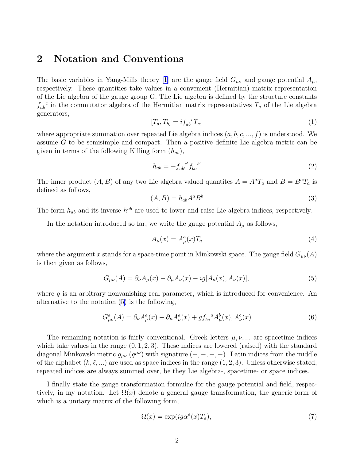## 2 Notation and Conventions

Thebasic variables in Yang-Mills theory [[1\]](#page-13-0) are the gauge field  $G_{\mu\nu}$  and gauge potential  $A_{\mu}$ , respectively. These quantities take values in a convenient (Hermitian) matrix representation of the Lie algebra of the gauge group G. The Lie algebra is defined by the structure constants  $f_{ab}^c$  in the commutator algebra of the Hermitian matrix representatives  $T_a$  of the Lie algebra generators,

$$
[T_a, T_b] = i f_{ab}^{\ \ c} T_c,\tag{1}
$$

where appropriate summation over repeated Lie algebra indices  $(a, b, c, ..., f)$  is understood. We assume G to be semisimple and compact. Then a positive definite Lie algebra metric can be given in terms of the following Killing form  $(h_{ab})$ ,

$$
h_{ab} = -f_{ab}^{c'} f_{bc'}^{b'} \tag{2}
$$

The inner product  $(A, B)$  of any two Lie algebra valued quantites  $A = A^a T_a$  and  $B = B^a T_a$  is defined as follows,

$$
(A,B) = h_{ab}A^a B^b \tag{3}
$$

The form  $h_{ab}$  and its inverse  $h^{ab}$  are used to lower and raise Lie algebra indices, respectively.

In the notation introduced so far, we write the gauge potential  $A_\mu$  as follows,

$$
A_{\mu}(x) = A_{\mu}^{a}(x)T_{a} \tag{4}
$$

where the argument x stands for a space-time point in Minkowski space. The gauge field  $G_{\mu\nu}(A)$ is then given as follows,

$$
G_{\mu\nu}(A) = \partial_{\nu}A_{\mu}(x) - \partial_{\mu}A_{\nu}(x) - ig[A_{\mu}(x), A_{\nu}(x)],
$$
\n(5)

where  $g$  is an arbitrary nonvanishing real parameter, which is introduced for convenience. An alternative to the notation (5) is the following,

$$
G^{a}_{\mu\nu}(A) = \partial_{\nu}A^{a}_{\mu}(x) - \partial_{\mu}A^{a}_{\nu}(x) + gf_{bc}{}^{a}A^{b}_{\mu}(x), A^{c}_{\nu}(x)
$$
(6)

The remaining notation is fairly conventional. Greek letters  $\mu, \nu, \dots$  are spacetime indices which take values in the range  $(0, 1, 2, 3)$ . These indices are lowered (raised) with the standard diagonal Minkowski metric  $g_{\mu\nu}$  ( $g^{\mu\nu}$ ) with signature  $(+, -, -, -)$ . Latin indices from the middle of the alphabet  $(k, \ell, ...)$  are used as space indices in the range  $(1, 2, 3)$ . Unless otherwise stated, repeated indices are always summed over, be they Lie algebra-, spacetime- or space indices.

I finally state the gauge transformation formulae for the gauge potential and field, respectively, in my notation. Let  $\Omega(x)$  denote a general gauge transformation, the generic form of which is a unitary matrix of the following form,

$$
\Omega(x) = \exp(i g \alpha^a(x) T_a),\tag{7}
$$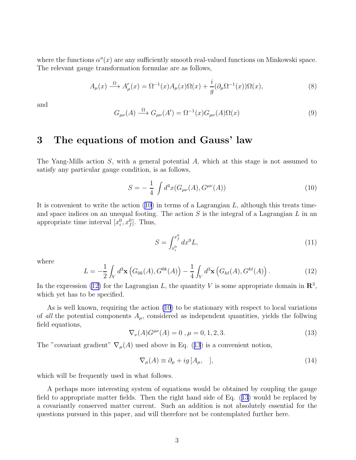<span id="page-3-0"></span>where the functions  $\alpha^a(x)$  are any sufficiently smooth real-valued functions on Minkowski space. The relevant gauge transformation formulae are as follows,

$$
A_{\mu}(x) \xrightarrow{\Omega} A'_{\mu}(x) = \Omega^{-1}(x) A_{\mu}(x) \Omega(x) + \frac{i}{g} (\partial_{\mu} \Omega^{-1}(x)) \Omega(x), \tag{8}
$$

and

$$
G_{\mu\nu}(A) \xrightarrow{\Omega} G_{\mu\nu}(A') = \Omega^{-1}(x)G_{\mu\nu}(A)\Omega(x)
$$
\n(9)

# 3 The equations of motion and Gauss' law

The Yang-Mills action S, with a general potential A, which at this stage is not assumed to satisfy any particular gauge condition, is as follows,

$$
S = -\frac{1}{4} \int d^4x (G_{\mu\nu}(A), G^{\mu\nu}(A)) \tag{10}
$$

It is convenient to write the action  $(10)$  in terms of a Lagrangian L, although this treats timeand space indices on an unequal footing. The action  $S$  is the integral of a Lagrangian  $L$  in an appropriate time interval  $[x_i^0, x_f^0]$ . Thus,

$$
S = \int_{x_i^0}^{x_f^0} dx^0 L,\tag{11}
$$

where

$$
L = -\frac{1}{2} \int_{V} d^{3} \mathbf{x} \left( G_{0k}(A), G^{0k}(A) \right) - \frac{1}{4} \int_{V} d^{3} \mathbf{x} \left( G_{k\ell}(A), G^{k\ell}(A) \right).
$$
 (12)

In the expression (12) for the Lagrangian L, the quantity V is some appropriate domain in  $\mathbb{R}^3$ , which yet has to be specified.

As is well known, requiring the action (10) to be stationary with respect to local variations of all the potential components  $A_{\mu}$ , considered as independent quantities, yields the follwing field equations,

$$
\nabla_{\nu}(A)G^{\mu\nu}(A) = 0, \mu = 0, 1, 2, 3. \tag{13}
$$

The "covariant gradient"  $\nabla_{\mu}(A)$  used above in Eq. (13) is a convenient notion,

$$
\nabla_{\mu}(A) \equiv \partial_{\mu} + ig \left[ A_{\mu}, \quad \right], \tag{14}
$$

which will be frequently used in what follows.

A perhaps more interesting system of equations would be obtained by coupling the gauge field to appropriate matter fields. Then the right hand side of Eq. (13) would be replaced by a covariantly conserved matter current. Such an addition is not absolutely essential for the questions pursued in this paper, and will therefore not be contemplated further here.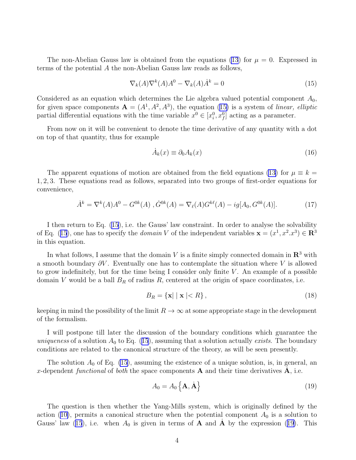<span id="page-4-0"></span>The non-Abelian Gauss law is obtained from the equations [\(13](#page-3-0)) for  $\mu = 0$ . Expressed in terms of the potential A the non-Abelian Gauss law reads as follows,

$$
\nabla_k(A)\nabla^k(A)A^0 - \nabla_k(A)\dot{A}^k = 0\tag{15}
$$

Considered as an equation which determines the Lie algebra valued potential component  $A_0$ , for given space components  $\mathbf{A} = (A^1, A^2, A^3)$ , the equation (15) is a system of linear, elliptic partial differential equations with the time variable  $x^0 \in [x_i^0, x_f^0]$  acting as a parameter.

From now on it will be convenient to denote the time derivative of any quantity with a dot on top of that quantity, thus for example

$$
\dot{A}_k(x) \equiv \partial_0 A_k(x) \tag{16}
$$

The apparent equations of motion are obtained from the field equations [\(13](#page-3-0)) for  $\mu \equiv k =$ 1, 2, 3. These equations read as follows, separated into two groups of first-order equations for convenience,

$$
\dot{A}^k = \nabla^k(A)A^0 - G^{0k}(A), \dot{G}^{0k}(A) = \nabla_\ell(A)G^{k\ell}(A) - ig[A_0, G^{0k}(A)].\tag{17}
$$

I then return to Eq. (15), i.e. the Gauss' law constraint. In order to analyse the solvability of Eq. (15), one has to specify the *domain* V of the independent variables  $\mathbf{x} = (x^1, x^2, x^3) \in \mathbb{R}^3$ in this equation.

In what follows, I assume that the domain V is a finite simply connected domain in  $\mathbb{R}^3$  with a smooth boundary  $\partial V$ . Eventually one has to contemplate the situation where V is allowed to grow indefinitely, but for the time being I consider only finite  $V$ . An example of a possible domain V would be a ball  $B_R$  of radius R, centered at the origin of space coordinates, i.e.

$$
B_R = \{ \mathbf{x} \mid \mid \mathbf{x} \mid < R \},\tag{18}
$$

keeping in mind the possibility of the limit  $R \to \infty$  at some appropriate stage in the development of the formalism.

I will postpone till later the discussion of the boundary conditions which guarantee the uniqueness of a solution  $A_0$  to Eq. (15), assuming that a solution actually exists. The boundary conditions are related to the canonical structure of the theory, as will be seen presently.

The solution  $A_0$  of Eq. (15), assuming the existence of a unique solution, is, in general, an x-dependent functional of both the space components **A** and their time derivatives  $\mathbf{\dot{A}}$ , i.e.

$$
A_0 = A_0 \left\{ \mathbf{A}, \dot{\mathbf{A}} \right\} \tag{19}
$$

The question is then whether the Yang-Mills system, which is originally defined by the action([10\)](#page-3-0), permits a canonical structure when the potential component  $A_0$  is a solution to Gauss' law (15), i.e. when  $A_0$  is given in terms of **A** and **A** by the expression (19). This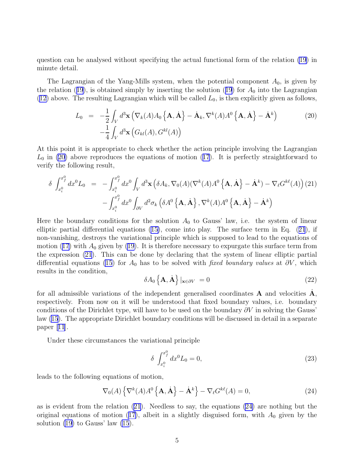<span id="page-5-0"></span>question can be analysed without specifying the actual functional form of the relation [\(19](#page-4-0)) in minute detail.

The Lagrangian of the Yang-Mills system, when the potential component  $A_0$ , is given by therelation ([19](#page-4-0)), is obtained simply by inserting the solution (19) for  $A_0$  into the Lagrangian  $(12)$  above. The resulting Lagrangian which will be called  $L_0$ , is then explicitly given as follows,

$$
L_0 = -\frac{1}{2} \int_V d^3 \mathbf{x} \left( \nabla_k(A) A_0 \left\{ \mathbf{A}, \dot{\mathbf{A}} \right\} - \dot{\mathbf{A}}_k, \nabla^k(A) A^0 \left\{ \mathbf{A}, \dot{\mathbf{A}} \right\} - \dot{\mathbf{A}}^k \right)
$$
\n
$$
-\frac{1}{4} \int_V d^3 \mathbf{x} \left( G_{kl}(A), G^{kl}(A) \right)
$$
\n(20)

At this point it is appropriate to check whether the action principle involving the Lagrangian  $L_0$ in (20) above reproduces the equations of motion ([17](#page-4-0)). It is perfectly straightforward to verify the following result,

$$
\delta \int_{x_i^0}^{x_f^0} dx^0 L_0 = - \int_{x_i^0}^{x_f^0} dx^0 \int_V d^3 \mathbf{x} \left( \delta A_k, \nabla_0(A) (\nabla^k(A) A^0 \left\{ \mathbf{A}, \dot{\mathbf{A}} \right\} - \dot{\mathbf{A}}^k) - \nabla_\ell G^{k\ell}(A) \right) (21)
$$

$$
- \int_{x_i^0}^{x_f^0} dx^0 \int_{\partial V} d^2 \sigma_k \left( \delta A^0 \left\{ \mathbf{A}, \dot{\mathbf{A}} \right\}, \nabla^k(A) A^0 \left\{ \mathbf{A}, \dot{\mathbf{A}} \right\} - \dot{\mathbf{A}}^k \right)
$$

Here the boundary conditions for the solution  $A_0$  to Gauss' law, i.e. the system of linear elliptic partial differential equations([15\)](#page-4-0), come into play. The surface term in Eq. (21), if non-vanishing, destroys the variational principle which is supposed to lead to the equations of motion [\(17\)](#page-4-0) with  $A_0$  given by [\(19\)](#page-4-0). It is therefore necessary to expurgate this surface term from the expression (21). This can be done by declaring that the system of linear elliptic partial differential equations [\(15](#page-4-0)) for  $A_0$  has to be solved with fixed boundary values at  $\partial V$ , which results in the condition,

$$
\delta A_0 \left\{ \mathbf{A}, \dot{\mathbf{A}} \right\} |_{\mathbf{x} \in \partial V} = 0 \tag{22}
$$

for all admissible variations of the independent generalised coordinates **A** and velocities  $\dot{\mathbf{A}}$ , respectively. From now on it will be understood that fixed boundary values, i.e. boundary conditions of the Dirichlet type, will have to be used on the boundary  $\partial V$  in solving the Gauss' law [\(15\)](#page-4-0). The appropriate Dirichlet boundary conditions will be discussed in detail in a separate paper $|11|$  $|11|$  $|11|$ .

Under these circumstances the variational principle

$$
\delta \int_{x_i^0}^{x_f^0} dx^0 L_0 = 0,
$$
\n(23)

leads to the following equations of motion,

$$
\nabla_0(A) \left\{ \nabla^k(A) A^0 \left\{ \mathbf{A}, \dot{\mathbf{A}} \right\} - \dot{\mathbf{A}}^k \right\} - \nabla_\ell G^{k\ell}(A) = 0, \tag{24}
$$

as is evident from the relation  $(21)$ . Needless to say, the equations  $(24)$  are nothing but the original equations of motion [\(17\)](#page-4-0), albeit in a slightly disguised form, with  $A_0$  given by the solution  $(19)$  to Gauss' law  $(15)$ .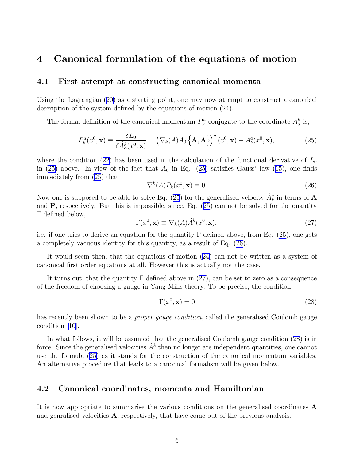### <span id="page-6-0"></span>4 Canonical formulation of the equations of motion

#### 4.1 First attempt at constructing canonical momenta

Using the Lagrangian([20\)](#page-5-0) as a starting point, one may now attempt to construct a canonical description of the system defined by the equations of motion [\(24](#page-5-0)).

The formal definition of the canonical momentum  $P_k^a$  conjugate to the coordinate  $A_a^k$  is,

$$
P_k^a(x^0, \mathbf{x}) \equiv \frac{\delta L_0}{\delta \dot{A}_a^k(x^0, \mathbf{x})} = \left(\nabla_k(A) A_0 \left\{\mathbf{A}, \dot{\mathbf{A}}\right\}\right)^a (x^0, \mathbf{x}) - \dot{A}_k^a(x^0, \mathbf{x}),\tag{25}
$$

wherethe condition ([22](#page-5-0)) has been used in the calculation of the functional derivative of  $L_0$ in(25) above. In view of the fact that  $A_0$  in Eq. (25) satisfies Gauss' law ([15](#page-4-0)), one finds immediately from (25) that

$$
\nabla^k(A) P_k(x^0, \mathbf{x}) \equiv 0. \tag{26}
$$

Now one is supposed to be able to solve Eq. (25) for the generalised velocity  $\dot{A}_k^a$  in terms of  $\bf A$ and  $P$ , respectively. But this is impossible, since, Eq.  $(25)$  can not be solved for the quantity Γ defined below,

$$
\Gamma(x^0, \mathbf{x}) \equiv \nabla_k(A) \dot{A}^k(x^0, \mathbf{x}),\tag{27}
$$

i.e. if one tries to derive an equation for the quantity  $\Gamma$  defined above, from Eq. (25), one gets a completely vacuous identity for this quantity, as a result of Eq. (26).

It would seem then, that the equations of motion [\(24](#page-5-0)) can not be written as a system of canonical first order equations at all. However this is actually not the case.

It turns out, that the quantity  $\Gamma$  defined above in (27), can be set to zero as a consequence of the freedom of choosing a gauge in Yang-Mills theory. To be precise, the condition

$$
\Gamma(x^0, \mathbf{x}) = 0 \tag{28}
$$

has recently been shown to be a *proper gauge condition*, called the generalised Coulomb gauge condition [\[10\]](#page-13-0).

In what follows, it will be assumed that the generalised Coulomb gauge condition (28) is in force. Since the generalised velocities  $\dot{A}^k$  then no longer are independent quantities, one cannot use the formula (25) as it stands for the construction of the canonical momentum variables. An alternative procedure that leads to a canonical formalism will be given below.

### 4.2 Canonical coordinates, momenta and Hamiltonian

It is now appropriate to summarise the various conditions on the generalised coordinates A and genralised velocities  $\dot{A}$ , respectively, that have come out of the previous analysis.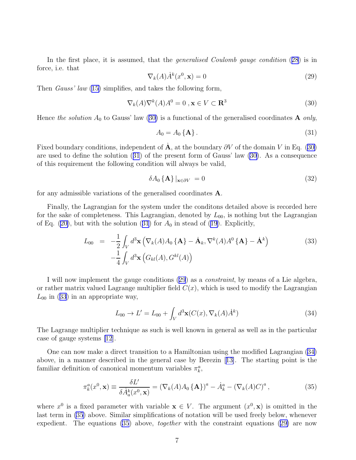<span id="page-7-0"></span>In the first place, it is assumed, that the *generalised Coulomb gauge condition* ([28](#page-6-0)) is in force, i.e. that

$$
\nabla_k(A)\dot{A}^k(x^0, \mathbf{x}) = 0\tag{29}
$$

Then *Gauss' law* ([15\)](#page-4-0) simplifies, and takes the following form,

$$
\nabla_k(A)\nabla^k(A)A^0 = 0, \mathbf{x} \in V \subset \mathbf{R}^3
$$
 (30)

Hence the solution  $A_0$  to Gauss' law (30) is a functional of the generalised coordinates **A** only,

$$
A_0 = A_0 \{ \mathbf{A} \} \,. \tag{31}
$$

Fixed boundary conditions, independent of  $\dot{\mathbf{A}}$ , at the boundary  $\partial V$  of the domain V in Eq. (30) are used to define the solution (31) of the present form of Gauss' law (30). As a consequence of this requirement the following condition will always be valid,

$$
\delta A_0 \left\{ \mathbf{A} \right\} |_{\mathbf{x} \in \partial V} = 0 \tag{32}
$$

for any admissible variations of the generalised coordinates A.

Finally, the Lagrangian for the system under the conditons detailed above is recorded here for the sake of completeness. This Lagrangian, denoted by  $L_{00}$ , is nothing but the Lagrangian of Eq. [\(20\)](#page-5-0), but with the solution (31) for  $A_0$  in stead of [\(19\)](#page-4-0). Explicitly,

$$
L_{00} = -\frac{1}{2} \int_{V} d^{3} \mathbf{x} \left( \nabla_{k}(A) A_{0} \{ \mathbf{A} \} - \dot{\mathbf{A}}_{k}, \nabla^{k}(A) A^{0} \{ \mathbf{A} \} - \dot{\mathbf{A}}^{k} \right) - \frac{1}{4} \int_{V} d^{3} \mathbf{x} \left( G_{kl}(A), G^{kl}(A) \right)
$$
(33)

I will now implement the gauge conditions (29) as a *constraint*, by means of a Lie algebra, or rather matrix valued Lagrange multiplier field  $C(x)$ , which is used to modify the Lagrangian  $L_{00}$  in (33) in an appropriate way,

$$
L_{00} \to L' = L_{00} + \int_{V} d^{3} \mathbf{x} (C(x), \nabla_{k}(A) \dot{A}^{k})
$$
\n(34)

The Lagrange multiplier technique as such is well known in general as well as in the particular case of gauge systems [\[12](#page-13-0)].

One can now make a direct transition to a Hamiltonian using the modified Lagrangian (34) above, in a manner described in the general case by Berezin[[13\]](#page-13-0). The starting point is the familiar definition of canonical momentum variables  $\pi_k^a$ ,

$$
\pi_k^a(x^0, \mathbf{x}) \equiv \frac{\delta L'}{\delta \dot{A}_a^k(x^0, \mathbf{x})} = \left(\nabla_k(A) A_0 \{\mathbf{A}\}\right)^a - \dot{A}_k^a - \left(\nabla_k(A) C\right)^a,\tag{35}
$$

where  $x^0$  is a fixed parameter with variable  $\mathbf{x} \in V$ . The argument  $(x^0, \mathbf{x})$  is omitted in the last term in (35) above. Similar simplifications of notation will be used freely below, whenever expedient. The equations  $(35)$  above, *together* with the constraint equations  $(29)$  are now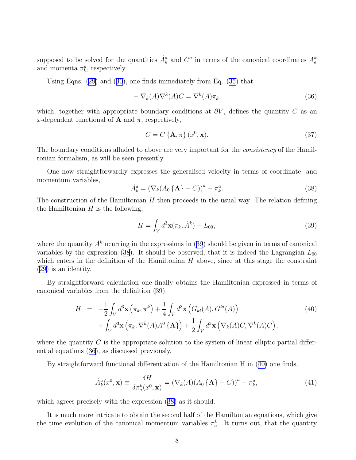<span id="page-8-0"></span>supposed to be solved for the quantities  $\dot{A}_k^a$  and  $C^a$  in terms of the canonical coordinates  $A_a^k$ and momenta  $\pi_k^a$ , respectively.

Using Eqns. [\(29](#page-7-0)) and([30](#page-7-0)), one finds immediately from Eq. [\(35\)](#page-7-0) that

$$
-\nabla_k(A)\nabla^k(A)C = \nabla^k(A)\pi_k,\tag{36}
$$

which, together with appropriate boundary conditions at  $\partial V$ , defines the quantity C as an x-dependent functional of **A** and  $\pi$ , respectively,

$$
C = C\left\{\mathbf{A}, \pi\right\}(x^0, \mathbf{x}).\tag{37}
$$

The boundary conditions alluded to above are very important for the *consistency* of the Hamiltonian formalism, as will be seen presently.

One now straightforwardly expresses the generalised velocity in terms of coordinate- and momentum variables,

$$
\dot{A}_k^a = \left(\nabla_k (A_0 \{\mathbf{A}\} - C)\right)^a - \pi_k^a. \tag{38}
$$

The construction of the Hamiltonian  $H$  then proceeds in the usual way. The relation defining the Hamiltonian  $H$  is the following,

$$
H = \int_V d^3 \mathbf{x} (\pi_k, \dot{A}^k) - L_{00}, \qquad (39)
$$

where the quantity  $\dot{A}^k$  ocurring in the expressions in (39) should be given in terms of canonical variables by the expression (38). It should be observed, that it is indeed the Lagrangian  $L_{00}$ which enters in the definition of the Hamiltonian  $H$  above, since at this stage the constraint [\(29\)](#page-7-0) is an identity.

By straightforward calculation one finally obtains the Hamiltonian expressed in terms of canonical variables from the definition (39),

$$
H = -\frac{1}{2} \int_{V} d^{3} \mathbf{x} \left( \pi_{k}, \pi^{k} \right) + \frac{1}{4} \int_{V} d^{3} \mathbf{x} \left( G_{kl}(A), G^{kl}(A) \right) + \int_{V} d^{3} \mathbf{x} \left( \pi_{k}, \nabla^{k}(A) A^{0} \{ \mathbf{A} \} \right) + \frac{1}{2} \int_{V} d^{3} \mathbf{x} \left( \nabla_{k}(A) C, \nabla^{k}(A) C \right),
$$
\n(40)

where the quantity  $C$  is the appropriate solution to the system of linear elliptic partial differential equations (36), as discussed previously.

By straightforward functional differentiation of the Hamiltonian H in (40) one finds,

$$
\dot{A}_k^a(x^0, \mathbf{x}) \equiv \frac{\delta H}{\delta \pi_a^k(x^0, \mathbf{x})} = \left(\nabla_k(A)(A_0 \{\mathbf{A}\} - C)\right)^a - \pi_k^a,\tag{41}
$$

which agrees precisely with the expression (38) as it should.

It is much more intricate to obtain the second half of the Hamiltonian equations, which give the time evolution of the canonical momentum variables  $\pi_a^k$ . It turns out, that the quantity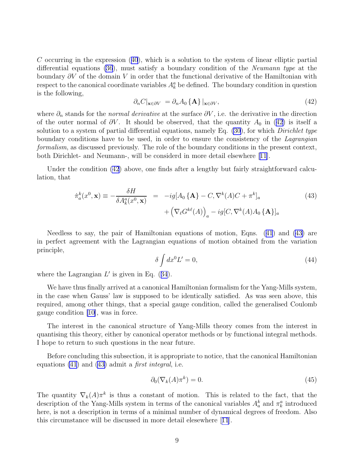<span id="page-9-0"></span>Coccurring in the expression  $(40)$  $(40)$  $(40)$ , which is a solution to the system of linear elliptic partial differential equations [\(36](#page-8-0)), must satisfy a boundary condition of the Neumann type at the boundary  $\partial V$  of the domain V in order that the functional derivative of the Hamiltonian with respect to the canonical coordinate variables  $A_k^a$  be defined. The boundary condition in question is the following,

$$
\partial_n C|_{\mathbf{x} \in \partial V} = \partial_n A_0 \{ \mathbf{A} \} |_{\mathbf{x} \in \partial V},\tag{42}
$$

where  $\partial_n$  stands for the *normal derivative* at the surface  $\partial V$ , i.e. the derivative in the direction of the outer normal of  $\partial V$ . It should be observed, that the quantity  $A_0$  in (42) is itself a solution to a system of partial differential equations, namely Eq.  $(30)$ , for which *Dirichlet type* boundary conditions have to be used, in order to ensure the consistency of the Lagrangian formalism, as discussed previously. The role of the boundary conditions in the present context, both Dirichlet- and Neumann-, will be considerd in more detail elsewhere [\[11\]](#page-13-0).

Under the condition (42) above, one finds after a lengthy but fairly straightforward calculation, that

$$
\dot{\pi}_a^k(x^0, \mathbf{x}) \equiv -\frac{\delta H}{\delta A_k^a(x^0, \mathbf{x})} = -ig[A_0 \{\mathbf{A}\} - C, \nabla^k(A)C + \pi^k]_a
$$
\n
$$
+ \left(\nabla_\ell G^{k\ell}(A)\right)_a - ig[C, \nabla^k(A)A_0 \{\mathbf{A}\}]_a
$$
\n(43)

Needless to say, the pair of Hamiltonian equations of motion, Eqns.([41](#page-8-0)) and (43) are in perfect agreement with the Lagrangian equations of motion obtained from the variation principle,

$$
\delta \int dx^0 L' = 0,\tag{44}
$$

wherethe Lagrangian  $L'$  is given in Eq.  $(34)$  $(34)$  $(34)$ .

We have thus finally arrived at a canonical Hamiltonian formalism for the Yang-Mills system, in the case when Gauss' law is supposed to be identically satisfied. As was seen above, this required, among other things, that a special gauge condition, called the generalised Coulomb gauge condition [\[10\]](#page-13-0), was in force.

The interest in the canonical structure of Yang-Mills theory comes from the interest in quantising this theory, either by canonical operator methods or by functional integral methods. I hope to return to such questions in the near future.

Before concluding this subsection, it is appropriate to notice, that the canonical Hamiltonian equations  $(41)$  and  $(43)$  admit a *first integral*, i.e.

$$
\partial_0(\nabla_k(A)\pi^k) = 0. \tag{45}
$$

The quantity  $\nabla_k(A)\pi^k$  is thus a constant of motion. This is related to the fact, that the description of the Yang-Mills system in terms of the canonical variables  $A_a^k$  and  $\pi_k^a$  introduced here, is not a description in terms of a minimal number of dynamical degrees of freedom. Also this circumstance will be discussed in more detail elesewhere[[11](#page-13-0)].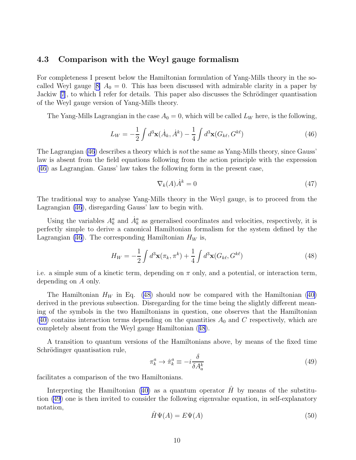### <span id="page-10-0"></span>4.3 Comparison with the Weyl gauge formalism

For completeness I present below the Hamiltonian formulation of Yang-Mills theory in the so-calledWeyl gauge [[8\]](#page-13-0)  $A_0 = 0$ . This has been discussed with admirable clarity in a paper by Jackiw  $|7|$ , to which I refer for details. This paper also discusses the Schrödinger quantisation of the Weyl gauge version of Yang-Mills theory.

The Yang-Mills Lagrangian in the case  $A_0 = 0$ , which will be called  $L_W$  here, is the following,

$$
L_W = -\frac{1}{2} \int d^3 \mathbf{x} (\dot{A}_k, \dot{A}^k) - \frac{1}{4} \int d^3 \mathbf{x} (G_{k\ell}, G^{k\ell})
$$
(46)

The Lagrangian (46) describes a theory which is not the same as Yang-Mills theory, since Gauss' law is absent from the field equations following from the action principle with the expression (46) as Lagrangian. Gauss' law takes the following form in the present case,

$$
\nabla_k(A)\dot{A}^k = 0\tag{47}
$$

The traditional way to analyse Yang-Mills theory in the Weyl gauge, is to proceed from the Lagrangian (46), disregarding Gauss' law to begin with.

Using the variables  $A_k^a$  and  $\dot{A}_k^a$  as generalised coordinates and velocities, respectively, it is perfectly simple to derive a canonical Hamiltonian formalism for the system defined by the Lagrangian (46). The corresponding Hamiltonian  $H_W$  is,

$$
H_W = -\frac{1}{2} \int d^3 \mathbf{x} (\pi_k, \pi^k) + \frac{1}{4} \int d^3 \mathbf{x} (G_{k\ell}, G^{k\ell})
$$
(48)

i.e. a simple sum of a kinetic term, depending on  $\pi$  only, and a potential, or interaction term, depending on A only.

The Hamiltonian  $H_W$  in Eq. (48) should now be compared with the Hamiltonian [\(40\)](#page-8-0) derived in the previous subsection. Disregarding for the time being the slightly different meaning of the symbols in the two Hamiltonians in question, one observes that the Hamiltonian [\(40\)](#page-8-0) contains interaction terms depending on the quantities  $A_0$  and C respectively, which are completely absent from the Weyl gauge Hamiltonian (48).

A transition to quantum versions of the Hamiltonians above, by means of the fixed time Schrödinger quantisation rule,

$$
\pi_k^a \to \hat{\pi}_k^a \equiv -i \frac{\delta}{\delta A_a^k} \tag{49}
$$

facilitates a comparison of the two Hamiltonians.

Interpretingthe Hamiltonian ([40\)](#page-8-0) as a quantum operator  $\hat{H}$  by means of the substitution (49) one is then invited to consider the following eigenvalue equation, in self-explanatory notation,

$$
\hat{H}\Psi(A) = E\Psi(A) \tag{50}
$$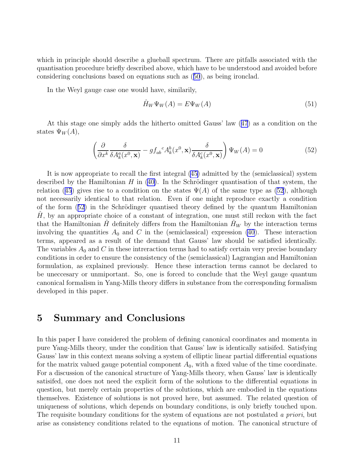which in principle should describe a glueball spectrum. There are pitfalls associated with the quantisation procedure briefly described above, which have to be understood and avoided before considering conclusions based on equations such as([50](#page-10-0)), as being ironclad.

In the Weyl gauge case one would have, similarily,

$$
\hat{H}_W \Psi_W(A) = E \Psi_W(A) \tag{51}
$$

At this stage one simply adds the hitherto omitted Gauss' law([47](#page-10-0)) as a condition on the states  $\Psi_W(A)$ ,

$$
\left(\frac{\partial}{\partial x^k} \frac{\delta}{\delta A_k^a(x^0, \mathbf{x})} - gf_{ab}{}^c A_k^b(x^0, \mathbf{x}) \frac{\delta}{\delta A_k^c(x^0, \mathbf{x})}\right) \Psi_W(A) = 0 \tag{52}
$$

It is now appropriate to recall the first integral([45\)](#page-9-0) admitted by the (semiclassical) system describedby the Hamiltonian H in  $(40)$  $(40)$ . In the Schrödinger quantisation of that system, the relation([45](#page-9-0)) gives rise to a condition on the states  $\Psi(A)$  of the same type as (52), although not necessarily identical to that relation. Even if one might reproduce exactly a condition of the form  $(52)$  in the Schrödinger quantised theory defined by the quantum Hamiltonian  $H$ , by an appropriate choice of a constant of integration, one must still reckon with the fact that the Hamiltonian H definitely differs from the Hamiltonian  $H_W$  by the interaction terms involving the quantities  $A_0$  and C in the (semiclassical) expression [\(40](#page-8-0)). These interaction terms, appeared as a result of the demand that Gauss' law should be satisfied identically. The variables  $A_0$  and C in these intreraction terms had to satisfy certain very precise boundary conditions in order to ensure the consistency of the (semiclassical) Lagrangian and Hamiltonian formulation, as explained previously. Hence these interaction terms cannot be declared to be uneccesary or unmiportant. So, one is forced to conclude that the Weyl gauge quantum canonical formalism in Yang-Mills theory differs in substance from the corresponding formalism developed in this paper.

## 5 Summary and Conclusions

In this paper I have considered the problem of defining canonical coordinates and momenta in pure Yang-Mills theory, under the condition that Gauss' law is identically satisifed. Satisfying Gauss' law in this context means solving a system of elliptic linear partial differential equations for the matrix valued gauge potential component  $A_0$ , with a fixed value of the time coordinate. For a discussion of the canonical structure of Yang-Mills theory, when Gauss' law is identically satisifed, one does not need the explicit form of the solutions to the differential equations in question, but merely certain properties of the solutions, which are embodied in the equations themselves. Existence of solutions is not proved here, but assumed. The related question of uniqueness of solutions, which depends on boundary conditions, is only briefly touched upon. The requisite boundary conditions for the system of equations are not postulated a priori, but arise as consistency conditions related to the equations of motion. The canonical structure of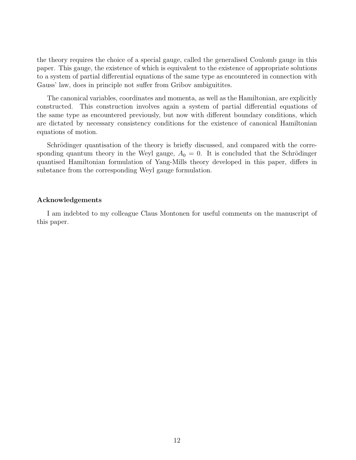the theory requires the choice of a special gauge, called the generalised Coulomb gauge in this paper. This gauge, the existence of which is equivalent to the existence of appropriate solutions to a system of partial differential equations of the same type as encountered in connection with Gauss' law, does in principle not suffer from Gribov ambiguitites.

The canonical variables, coordinates and momenta, as well as the Hamiltonian, are explicitly constructed. This construction involves again a system of partial differential equations of the same type as encountered previously, but now with different boundary conditions, which are dictated by necessary consistency conditions for the existence of canonical Hamiltonian equations of motion.

Schrödinger quantisation of the theory is briefly discussed, and compared with the corresponding quantum theory in the Weyl gauge,  $A_0 = 0$ . It is concluded that the Schrödinger quantised Hamiltonian formulation of Yang-Mills theory developed in this paper, differs in substance from the corresponding Weyl gauge formulation.

#### Acknowledgements

I am indebted to my colleague Claus Montonen for useful comments on the manuscript of this paper.